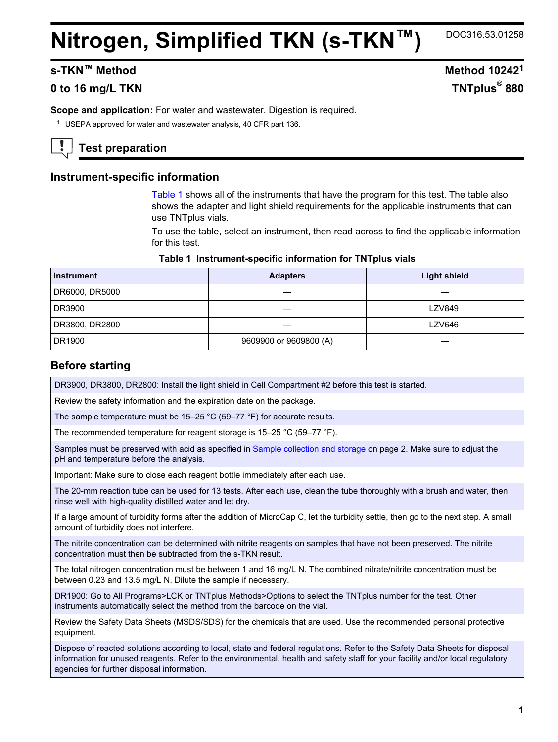## **Nitrogen, Simplified TKN (s-TKN™)**

DOC316.53.01258

## **s**-TKN™ Method **10242<sup>1</sup>**

## **0 to 16 mg/L TKN**

**Scope and application:** For water and wastewater. Digestion is required.

<sup>1</sup> USEPA approved for water and wastewater analysis, 40 CFR part 136.

## **Test preparation**

## **Instrument-specific information**

[Table 1](#page-0-0) shows all of the instruments that have the program for this test. The table also shows the adapter and light shield requirements for the applicable instruments that can use TNTplus vials.

To use the table, select an instrument, then read across to find the applicable information for this test.

#### **Table 1 Instrument-specific information for TNTplus vials**

<span id="page-0-1"></span><span id="page-0-0"></span>

| <b>Instrument</b> | <b>Adapters</b>        | <b>Light shield</b> |  |
|-------------------|------------------------|---------------------|--|
| DR6000, DR5000    |                        |                     |  |
| DR3900            |                        | <b>LZV849</b>       |  |
| DR3800, DR2800    |                        | LZV646              |  |
| DR1900            | 9609900 or 9609800 (A) |                     |  |

## **Before starting**

DR3900, DR3800, DR2800: Install the light shield in Cell Compartment #2 before this test is started.

Review the safety information and the expiration date on the package.

The sample temperature must be 15–25 °C (59–77 °F) for accurate results.

The recommended temperature for reagent storage is 15–25 °C (59–77 °F).

Samples must be preserved with acid as specified in [Sample collection and storage](#page-1-0) on page 2. Make sure to adjust the pH and temperature before the analysis.

Important: Make sure to close each reagent bottle immediately after each use.

The 20-mm reaction tube can be used for 13 tests. After each use, clean the tube thoroughly with a brush and water, then rinse well with high-quality distilled water and let dry.

If a large amount of turbidity forms after the addition of MicroCap C, let the turbidity settle, then go to the next step. A small amount of turbidity does not interfere.

The nitrite concentration can be determined with nitrite reagents on samples that have not been preserved. The nitrite concentration must then be subtracted from the s-TKN result.

The total nitrogen concentration must be between 1 and 16 mg/L N. The combined nitrate/nitrite concentration must be between 0.23 and 13.5 mg/L N. Dilute the sample if necessary.

DR1900: Go to All Programs>LCK or TNTplus Methods>Options to select the TNTplus number for the test. Other instruments automatically select the method from the barcode on the vial.

Review the Safety Data Sheets (MSDS/SDS) for the chemicals that are used. Use the recommended personal protective equipment.

Dispose of reacted solutions according to local, state and federal regulations. Refer to the Safety Data Sheets for disposal information for unused reagents. Refer to the environmental, health and safety staff for your facility and/or local regulatory agencies for further disposal information.

# **TNTplus**<sup>®</sup> 880

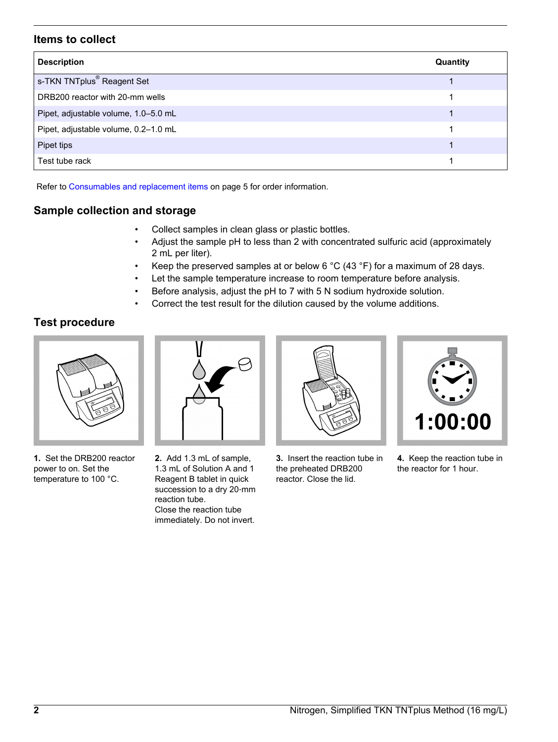## **Items to collect**

| <b>Description</b>                     | Quantity |
|----------------------------------------|----------|
| s-TKN TNTplus <sup>®</sup> Reagent Set |          |
| DRB200 reactor with 20-mm wells        |          |
| Pipet, adjustable volume, 1.0-5.0 mL   |          |
| Pipet, adjustable volume, 0.2-1.0 mL   |          |
| Pipet tips                             |          |
| Test tube rack                         |          |

Refer to [Consumables and replacement items](#page-4-0) on page 5 for order information.

## **Sample collection and storage**

- Collect samples in clean glass or plastic bottles.
- Adjust the sample pH to less than 2 with concentrated sulfuric acid (approximately 2 mL per liter).
- Keep the preserved samples at or below 6 °C (43 °F) for a maximum of 28 days.
- Let the sample temperature increase to room temperature before analysis.
- Before analysis, adjust the pH to 7 with 5 N sodium hydroxide solution.
- Correct the test result for the dilution caused by the volume additions.

## **Test procedure**

<span id="page-1-0"></span>

**1.** Set the DRB200 reactor power to on. Set the temperature to 100 °C.



**2.** Add 1.3 mL of sample, 1.3 mL of Solution A and 1 Reagent B tablet in quick succession to a dry 20-mm reaction tube. Close the reaction tube immediately. Do not invert.



**3.** Insert the reaction tube in the preheated DRB200 reactor. Close the lid.



**4.** Keep the reaction tube in the reactor for 1 hour.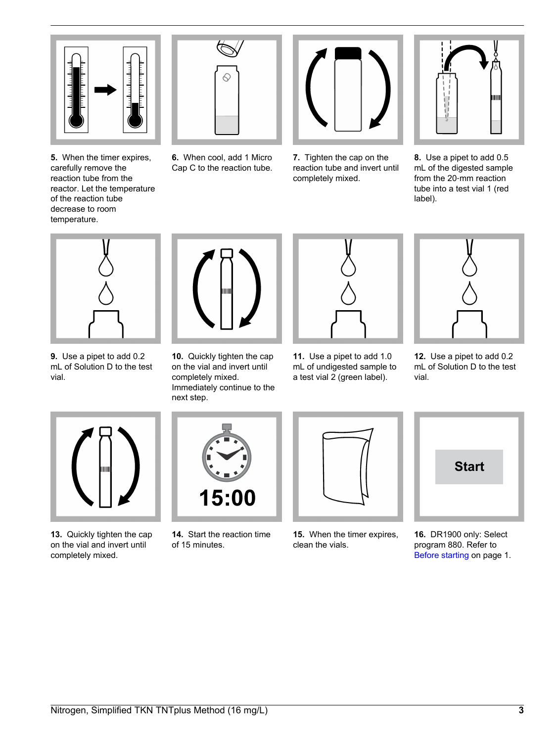

**5.** When the timer expires, carefully remove the reaction tube from the reactor. Let the temperature of the reaction tube decrease to room temperature.



**6.** When cool, add 1 Micro Cap C to the reaction tube.



**7.** Tighten the cap on the reaction tube and invert until completely mixed.



**8.** Use a pipet to add 0.5 mL of the digested sample from the 20‑mm reaction tube into a test vial 1 (red label).



**9.** Use a pipet to add 0.2 mL of Solution D to the test vial.



**10.** Quickly tighten the cap on the vial and invert until completely mixed. Immediately continue to the next step.

**11.** Use a pipet to add 1.0 mL of undigested sample to a test vial 2 (green label).



**12.** Use a pipet to add 0.2 mL of Solution D to the test vial.



**13.** Quickly tighten the cap on the vial and invert until completely mixed.

| 15:00 |  |
|-------|--|

**14.** Start the reaction time of 15 minutes.



**15.** When the timer expires, clean the vials.



**16.** DR1900 only: Select program 880. Refer to [Before starting](#page-0-1) on page 1.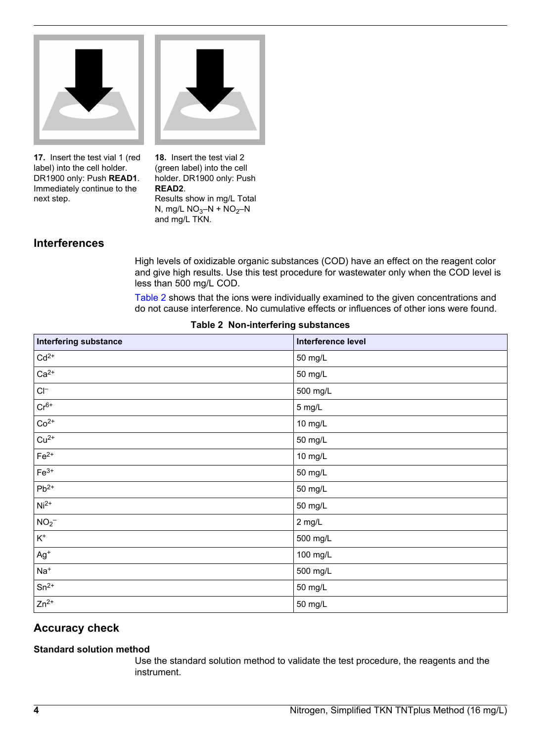<span id="page-3-0"></span>

**17.** Insert the test vial 1 (red label) into the cell holder. DR1900 only: Push **READ1**. Immediately continue to the next step.

**18.** Insert the test vial 2 (green label) into the cell holder. DR1900 only: Push **READ2**. Results show in mg/L Total N, mg/L  $NO_3-N + NO_2-N$ and mg/L TKN.

## **Interferences**

High levels of oxidizable organic substances (COD) have an effect on the reagent color and give high results. Use this test procedure for wastewater only when the COD level is less than 500 mg/L COD.

[Table 2](#page-3-0) shows that the ions were individually examined to the given concentrations and do not cause interference. No cumulative effects or influences of other ions were found.

| Interfering substance | Interference level |
|-----------------------|--------------------|
| $Cd2+$                | 50 mg/L            |
| $Ca2+$                | 50 mg/L            |
| $Cl^-$                | 500 mg/L           |
| $Cr^{6+}$             | 5 mg/L             |
| $Co2+$                | 10 mg/L            |
| $Cu2+$                | 50 mg/L            |
| $Fe2+$                | 10 mg/L            |
| $Fe3+$                | 50 mg/L            |
| $Pb^{2+}$             | 50 mg/L            |
| $\sqrt{N}i^{2+}$      | 50 mg/L            |
| NO <sub>2</sub>       | 2 mg/L             |
| $\kappa^*$            | 500 mg/L           |
| $Ag+$                 | 100 mg/L           |
| $Na+$                 | 500 mg/L           |
| $Sn^{2+}$             | 50 mg/L            |
| $Zn^{2+}$             | 50 mg/L            |

### **Table 2 Non-interfering substances**

## **Accuracy check**

### **Standard solution method**

Use the standard solution method to validate the test procedure, the reagents and the instrument.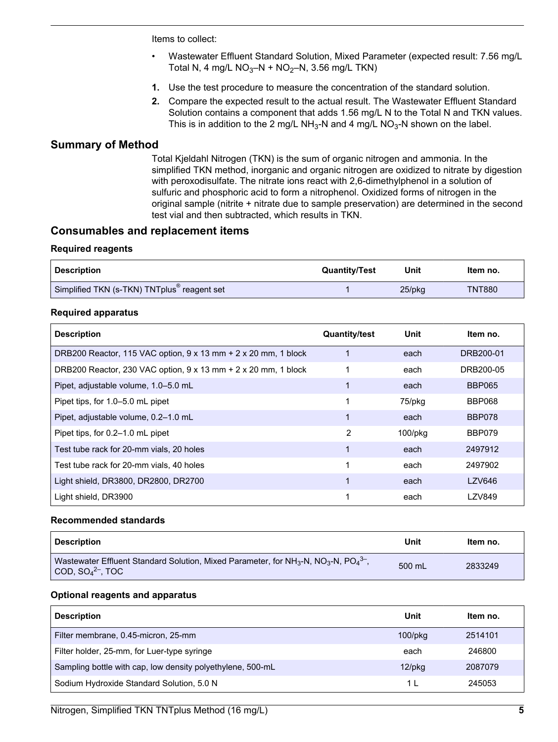Items to collect:

- Wastewater Effluent Standard Solution, Mixed Parameter (expected result: 7.56 mg/L Total N, 4 mg/L  $NO<sub>3</sub>-N + NO<sub>2</sub>-N$ , 3.56 mg/L TKN)
- **1.** Use the test procedure to measure the concentration of the standard solution.
- **2.** Compare the expected result to the actual result. The Wastewater Effluent Standard Solution contains a component that adds 1.56 mg/L N to the Total N and TKN values. This is in addition to the 2 mg/L NH<sub>3</sub>-N and 4 mg/L NO<sub>3</sub>-N shown on the label.

## **Summary of Method**

Total Kjeldahl Nitrogen (TKN) is the sum of organic nitrogen and ammonia. In the simplified TKN method, inorganic and organic nitrogen are oxidized to nitrate by digestion with peroxodisulfate. The nitrate ions react with 2,6-dimethylphenol in a solution of sulfuric and phosphoric acid to form a nitrophenol. Oxidized forms of nitrogen in the original sample (nitrite + nitrate due to sample preservation) are determined in the second test vial and then subtracted, which results in TKN.

## **Consumables and replacement items**

#### **Required reagents**

<span id="page-4-0"></span>

| <b>Description</b>                                      | <b>Quantity/Test</b> | Unit   | ltem no.      |
|---------------------------------------------------------|----------------------|--------|---------------|
| Simplified TKN (s-TKN) TNTplus <sup>®</sup> reagent set |                      | 25/pkg | <b>TNT880</b> |

#### **Required apparatus**

| <b>Description</b>                                                           | <b>Quantity/test</b> | Unit    | Item no.      |
|------------------------------------------------------------------------------|----------------------|---------|---------------|
| DRB200 Reactor, 115 VAC option, $9 \times 13$ mm $+ 2 \times 20$ mm, 1 block |                      | each    | DRB200-01     |
| DRB200 Reactor, 230 VAC option, $9 \times 13$ mm $+ 2 \times 20$ mm, 1 block |                      | each    | DRB200-05     |
| Pipet, adjustable volume, 1.0–5.0 mL                                         |                      | each    | <b>BBP065</b> |
| Pipet tips, for 1.0–5.0 mL pipet                                             |                      | 75/pkg  | <b>BBP068</b> |
| Pipet, adjustable volume, 0.2-1.0 mL                                         |                      | each    | BBP078        |
| Pipet tips, for 0.2–1.0 mL pipet                                             | 2                    | 100/pkg | BBP079        |
| Test tube rack for 20-mm vials, 20 holes                                     |                      | each    | 2497912       |
| Test tube rack for 20-mm vials, 40 holes                                     |                      | each    | 2497902       |
| Light shield, DR3800, DR2800, DR2700                                         |                      | each    | LZV646        |
| Light shield, DR3900                                                         |                      | each    | <b>LZV849</b> |

#### **Recommended standards**

| <b>Description</b>                                                                                                                    | Unit   | Item no. |
|---------------------------------------------------------------------------------------------------------------------------------------|--------|----------|
| Wastewater Effluent Standard Solution, Mixed Parameter, for $NH3-N$ , $NO3-N$ , $PO43-$ ,<br>$\vert$ COD, SO $_4$ <sup>2-</sup> , TOC | 500 mL | 2833249  |

#### **Optional reagents and apparatus**

| <b>Description</b>                                         | Unit          | Item no. |
|------------------------------------------------------------|---------------|----------|
| Filter membrane, 0.45-micron, 25-mm                        | $100$ /p $kg$ | 2514101  |
| Filter holder, 25-mm, for Luer-type syringe                | each          | 246800   |
| Sampling bottle with cap, low density polyethylene, 500-mL | $12$ /p $kg$  | 2087079  |
| Sodium Hydroxide Standard Solution, 5.0 N                  | 1             | 245053   |